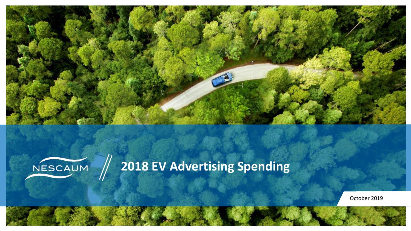



# **2018 EV Advertising Spending**

October 2019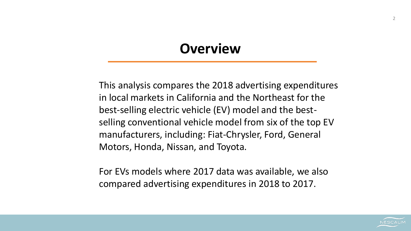## **Overview**

This analysis compares the 2018 advertising expenditures in local markets in California and the Northeast for the best-selling electric vehicle (EV) model and the bestselling conventional vehicle model from six of the top EV manufacturers, including: Fiat-Chrysler, Ford, General Motors, Honda, Nissan, and Toyota.

For EVs models where 2017 data was available, we also compared advertising expenditures in 2018 to 2017.

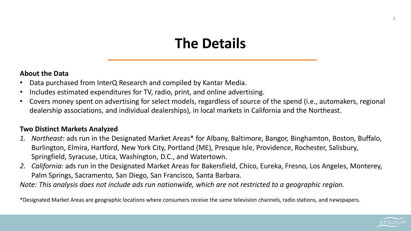## **The Details**

#### **About the Data**

- Data purchased from InterQ Research and compiled by Kantar Media.
- Includes estimated expenditures for TV, radio, print, and online advertising.
- Covers money spent on advertising for select models, regardless of source of the spend (i.e., automakers, regional dealership associations, and individual dealerships), in local markets in California and the Northeast.

#### **Two Distinct Markets Analyzed**

- *1. Northeast*: ads run in the Designated Market Areas\* for Albany, Baltimore, Bangor, Binghamton, Boston, Buffalo, Burlington, Elmira, Hartford, New York City, Portland (ME), Presque Isle, Providence, Rochester, Salisbury, Springfield, Syracuse, Utica, Washington, D.C., and Watertown.
- *2. California:* ads run in the Designated Market Areas for Bakersfield, Chico, Eureka, Fresno, Los Angeles, Monterey, Palm Springs, Sacramento, San Diego, San Francisco, Santa Barbara.

*Note: This analysis does not include ads run nationwide, which are not restricted to a geographic region.*

\*Designated Market Areas are geographic locations where consumers receive the same television channels, radio stations, and newspapers.

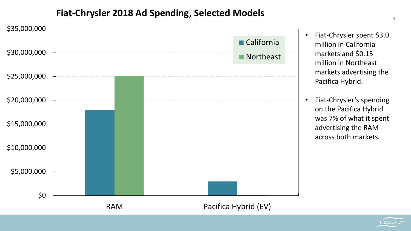#### **Fiat-Chrysler 2018 Ad Spending, Selected Models**



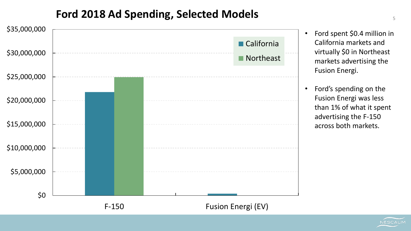## **Ford 2018 Ad Spending, Selected Models**



- Ford spent \$0.4 million in California markets and virtually \$0 in Northeast markets advertising the Fusion Energi.
- Ford's spending on the Fusion Energi was less than 1% of what it spent advertising the F-150 across both markets.

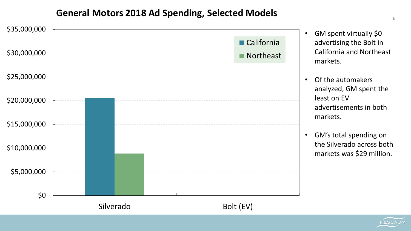#### **General Motors 2018 Ad Spending, Selected Models**



**NESCAUM**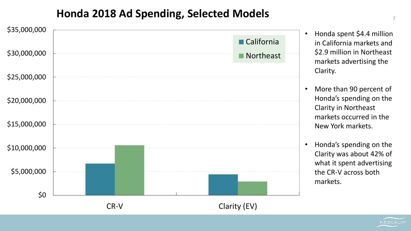## **Honda 2018 Ad Spending, Selected Models**



• Honda spent \$4.4 million in California markets and \$2.9 million in Northeast markets advertising the Clarity.

7

**NESCAUM** 

- More than 90 percent of Honda's spending on the Clarity in Northeast markets occurred in the New York markets.
- Honda's spending on the Clarity was about 42% of what it spent advertising the CR-V across both markets.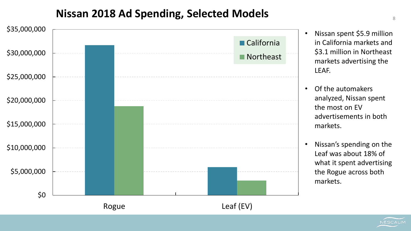## **Nissan 2018 Ad Spending, Selected Models**



• Nissan spent \$5.9 million in California markets and \$3.1 million in Northeast markets advertising the

8

**NESCAUM** 

- Of the automakers analyzed, Nissan spent the most on EV advertisements in both
- Nissan's spending on the Leaf was about 18% of what it spent advertising the Rogue across both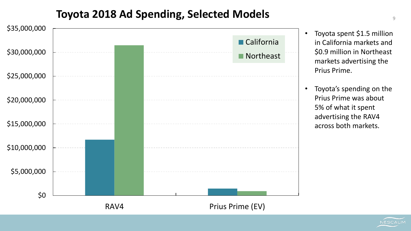## **Toyota 2018 Ad Spending, Selected Models**



- Toyota spent \$1.5 million in California markets and \$0.9 million in Northeast markets advertising the Prius Prime.
- Toyota's spending on the Prius Prime was about 5% of what it spent advertising the RAV4 across both markets.

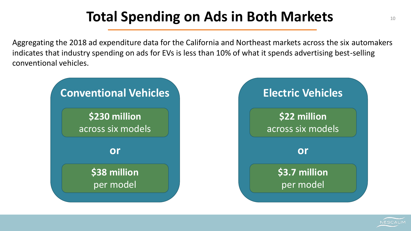# **Total Spending on Ads in Both Markets** <sup>10</sup>

Aggregating the 2018 ad expenditure data for the California and Northeast markets across the six automakers indicates that industry spending on ads for EVs is less than 10% of what it spends advertising best-selling conventional vehicles.



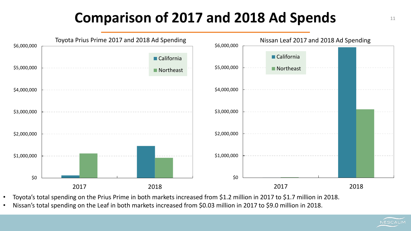# **Comparison of 2017 and 2018 Ad Spends** <sup>11</sup>



• Toyota's total spending on the Prius Prime in both markets increased from \$1.2 million in 2017 to \$1.7 million in 2018.

• Nissan's total spending on the Leaf in both markets increased from \$0.03 million in 2017 to \$9.0 million in 2018.